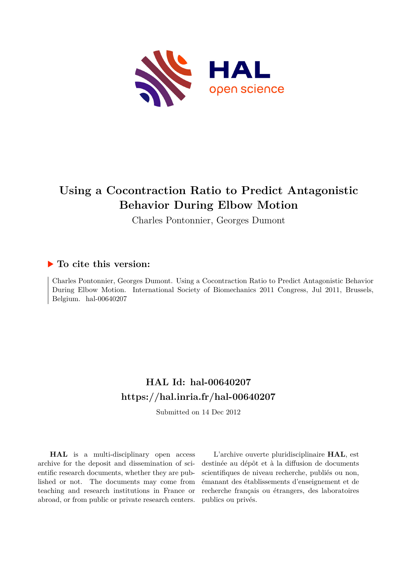

# **Using a Cocontraction Ratio to Predict Antagonistic Behavior During Elbow Motion**

Charles Pontonnier, Georges Dumont

### **To cite this version:**

Charles Pontonnier, Georges Dumont. Using a Cocontraction Ratio to Predict Antagonistic Behavior During Elbow Motion. International Society of Biomechanics 2011 Congress, Jul 2011, Brussels, Belgium. hal-00640207

## **HAL Id: hal-00640207 <https://hal.inria.fr/hal-00640207>**

Submitted on 14 Dec 2012

**HAL** is a multi-disciplinary open access archive for the deposit and dissemination of scientific research documents, whether they are published or not. The documents may come from teaching and research institutions in France or abroad, or from public or private research centers.

L'archive ouverte pluridisciplinaire **HAL**, est destinée au dépôt et à la diffusion de documents scientifiques de niveau recherche, publiés ou non, émanant des établissements d'enseignement et de recherche français ou étrangers, des laboratoires publics ou privés.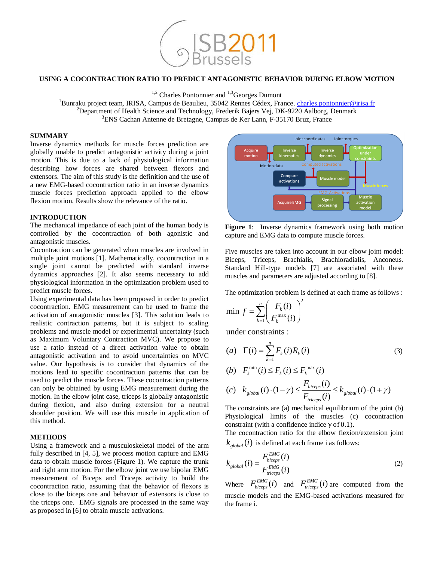

#### **USING A COCONTRACTION RATIO TO PREDICT ANTAGONISTIC BEHAVIOR DURING ELBOW MOTION**

 $1,2$  Charles Pontonnier and  $1,3$  Georges Dumont

<sup>1</sup>Bunraku project team, IRISA, Campus de Beaulieu, 35042 Rennes Cédex, France. [charles.pontonnier@irisa.fr](mailto:charles.pontonnier@irisa.fr) <sup>2</sup>Department of Health Science and Technology, Frederik Bajers Vej, DK-9220 Aalborg, Denmark <sup>3</sup>ENS Cachan Antenne de Bretagne, Campus de Ker Lann, F-35170 Bruz, France

#### **SUMMARY**

Inverse dynamics methods for muscle forces prediction are globally unable to predict antagonistic activity during a joint motion. This is due to a lack of physiological information describing how forces are shared between flexors and extensors. The aim of this study is the definition and the use of a new EMG-based cocontraction ratio in an inverse dynamics muscle forces prediction approach applied to the elbow flexion motion. Results show the relevance of the ratio.

#### **INTRODUCTION**

The mechanical impedance of each joint of the human body is controlled by the cocontraction of both agonistic and antagonistic muscles.

Cocontraction can be generated when muscles are involved in multiple joint motions [1]. Mathematically, cocontraction in a single joint cannot be predicted with standard inverse dynamics approaches [2]. It also seems necessary to add physiological information in the optimization problem used to predict muscle forces.

Using experimental data has been proposed in order to predict cocontraction. EMG measurement can be used to frame the activation of antagonistic muscles [3]. This solution leads to realistic contraction patterns, but it is subject to scaling problems and muscle model or experimental uncertainty (such as Maximum Voluntary Contraction MVC). We propose to use a ratio instead of a direct activation value to obtain antagonistic activation and to avoid uncertainties on MVC value. Our hypothesis is to consider that dynamics of the motions lead to specific cocontraction patterns that can be used to predict the muscle forces. These cocontraction patterns can only be obtained by using EMG measurement during the motion. In the elbow joint case, triceps is globally antagonistic during flexion, and also during extension for a neutral shoulder position. We will use this muscle in application of this method.

#### **METHODS**

Using a framework and a musculoskeletal model of the arm fully described in [4, 5], we process motion capture and EMG data to obtain muscle forces (Figure 1). We capture the trunk and right arm motion. For the elbow joint we use bipolar EMG measurement of Biceps and Triceps activity to build the cocontraction ratio, assuming that the behavior of flexors is close to the biceps one and behavior of extensors is close to the triceps one. EMG signals are processed in the same way as proposed in [6] to obtain muscle activations.



**Figure 1**: Inverse dynamics framework using both motion capture and EMG data to compute muscle forces.

Five muscles are taken into account in our elbow joint model: Biceps, Triceps, Brachialis, Brachioradialis, Anconeus. Standard Hill-type models [7] are associated with these muscles and parameters are adjusted according to [8].

The optimization problem is defined at each frame as follows :  
\n
$$
\min f = \sum_{k=1}^{n} \left( \frac{F_k(i)}{F_k^{\max}(i)} \right)^2
$$

under constraints :  
\n(a) 
$$
\Gamma(i) = \sum_{k=1}^{n} F_k(i) R_k(i)
$$
\n(b) 
$$
F_k^{\min}(i) \le F_k(i) \le F_k^{\max}(i)
$$
\n(c) 
$$
k \qquad (i) \cdot (1 - \gamma) \le \frac{F_{biceps}(i)}{s} \le k \qquad (i) \cdot (1 + \gamma)
$$

$$
(b) \quad F_k \quad (t) \le F_k \quad (t)
$$
\n
$$
(c) \quad k_{global}(i) \cdot (1 - \gamma) \le \frac{F_{biceps}(i)}{F_{triceps}(i)} \le k_{global}(i) \cdot (1 + \gamma)
$$

The constraints are (a) mechanical equilibrium of the joint (b) Physiological limits of the muscles (c) cocontraction constraint (with a confidence indice  $γ$  of 0.1).

The cocontraction ratio for the elbow flexion/extension joint  $k_{global}(i)$  is defined at each frame i as follows:

$$
k_{global}(i) = \frac{F_{biceps}^{EMG}(i)}{F_{trices}^{EMG}(i)}
$$
(2)

Where  $F_{biceps}^{EMG}(i)$  and  $F_{ticeps}^{EMG}(i)$  are computed from the muscle models and the EMG-based activations measured for the frame i.